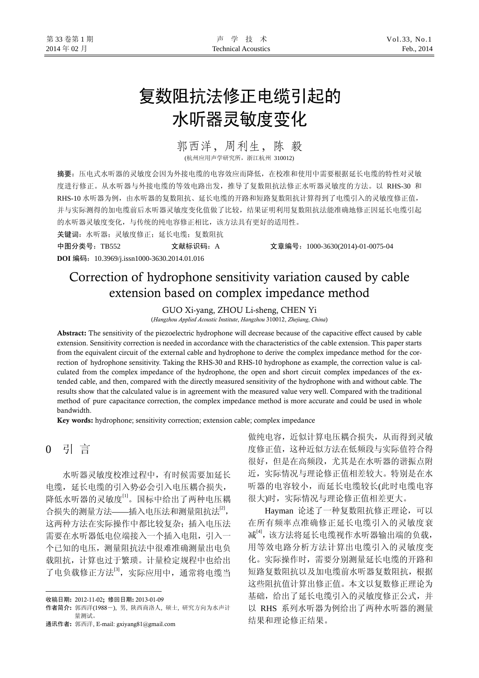# 复数阻抗法修正电缆引起的 水听器灵敏度变化

## 郭西洋,周利生,陈 毅

(杭州应用声学研究所,浙江杭州 310012)

摘要:压电式水听器的灵敏度会因为外接电缆的电容效应而降低,在校准和使用中需要根据延长电缆的特性对灵敏 度进行修正。从水听器与外接电缆的等效电路出发,推导了复数阻抗法修正水听器灵敏度的方法。以 RHS-30 和 RHS-10 水听器为例, 由水听器的复数阻抗、延长电缆的开路和短路复数阻抗计算得到了电缆引入的灵敏度修正值, 并与实际测得的加电缆前后水听器灵敏度变化值做了比较,结果证明利用复数阻抗法能准确地修正因延长电缆引起 的水听器灵敏度变化,与传统的纯电容修正相比,该方法具有更好的适用性。

关键词:水听器;灵敏度修正;延长电缆;复数阻抗

中图分类号:TB552 文献标识码:A 文章编号:1000-3630(2014)-01-0075-04 **DOI** 编码:10.3969/j.issn1000-3630.2014.01.016

## Correction of hydrophone sensitivity variation caused by cable extension based on complex impedance method

GUO Xi-yang, ZHOU Li-sheng, CHEN Yi

(*Hangzhou Applied Acoustic Institute*, *Hangzhou* 310012, *Zhejiang*, *China*)

Abstract: The sensitivity of the piezoelectric hydrophone will decrease because of the capacitive effect caused by cable extension. Sensitivity correction is needed in accordance with the characteristics of the cable extension. This paper starts from the equivalent circuit of the external cable and hydrophone to derive the complex impedance method for the correction of hydrophone sensitivity. Taking the RHS-30 and RHS-10 hydrophone as example, the correction value is calculated from the complex impedance of the hydrophone, the open and short circuit complex impedances of the extended cable, and then, compared with the directly measured sensitivity of the hydrophone with and without cable. The results show that the calculated value is in agreement with the measured value very well. Compared with the traditional method of pure capacitance correction, the complex impedance method is more accurate and could be used in whole bandwidth.

Key words: hydrophone; sensitivity correction; extension cable; complex impedance

### 0 引 言

 $\overline{a}$ 

水听器灵敏度校准过程中,有时候需要加延长 电缆,延长电缆的引入势必会引入电压耦合损失, 降低水听器的灵敏度<sup>[1]</sup>。国标中给出了两种电压耦 合损失的测量方法——插入电压法和测量阻抗法<sup>[2]</sup>, 这两种方法在实际操作中都比较复杂;插入电压法 需要在水听器低电位端接入一个插入电阻,引入一 个已知的电压,测量阻抗法中很难准确测量出电负 载阻抗,计算也过于繁琐。计量检定规程中也给出 了电负载修正方法<sup>[3]</sup>,实际应用中,通常将电缆当

通讯作者: 郭西洋, E-mail: gxiyang81@gmail.com

做纯电容,近似计算电压耦合损失,从而得到灵敏 度修正值,这种近似方法在低频段与实际值符合得 很好,但是在高频段,尤其是在水听器的谐振点附 近,实际情况与理论修正值相差较大。特别是在水 听器的电容较小,而延长电缆较长(此时电缆电容 很大)时,实际情况与理论修正值相差更大。

Hayman 论述了一种复数阻抗修正理论,可以 在所有频率点准确修正延长电缆引入的灵敏度衰 减[4],该方法将延长电缆视作水听器输出端的负载, 用等效电路分析方法计算出电缆引入的灵敏度变 化。实际操作时,需要分别测量延长电缆的开路和 短路复数阻抗以及加电缆前水听器复数阻抗,根据 这些阻抗值计算出修正值。本文以复数修正理论为 基础,给出了延长电缆引入的灵敏度修正公式,并 以 RHS 系列水听器为例给出了两种水听器的测量 结果和理论修正结果。

收稿日期: 2012-11-02; 修回日期: 2013-01-09

作者简介: 郭西洋(1988-), 男, 陕西商洛人, 硕士, 研究方向为水声计 量测试。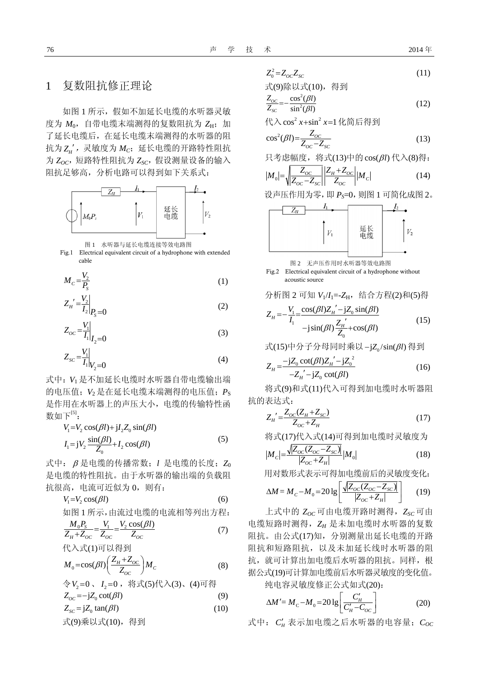#### 1 复数阻抗修正理论

如图 1 所示,假如不加延长电缆的水听器灵敏 度为  $M_0$ , 自带电缆末端测得的复数阻抗为 ZH; 加 了延长电缆后,在延长电缆末端测得的水听器的阻 抗为 ZH', 灵敏度为 Mc;延长电缆的开路特性阻抗  $\bigtriangledown$  *Z<sub>oC</sub>*, 短路特性阻抗为 *Z<sub>sC</sub>*, 假设测量设备的输入 阻抗足够高,分析电路可以得到如下关系式:



图 1 水听器与延长电缆连接等效电路图



$$
M_c = \frac{V_2}{P_s} \tag{1}
$$

$$
Z_{H}^{\prime} = \frac{V_2}{I_2} \bigg|_{P_S = 0} \tag{2}
$$

$$
Z_{OC} = \frac{V_1}{I_1}\bigg|_{I_2 = 0} \tag{3}
$$

$$
Z_{sc} = \frac{V_1}{I_1|_{V_2=0}} \tag{4}
$$

式中:*V*<sup>1</sup> 是不加延长电缆时水听器自带电缆输出端 的电压值;*V*<sup>2</sup> 是在延长电缆末端测得的电压值;*P*<sup>S</sup> 是作用在水听器上的声压大小,电缆的传输特性函 数如下 $^{[5]}$ :

$$
V_1 = V_2 \cos(\beta l) + jI_2 Z_0 \sin(\beta l)
$$
  
\n
$$
I_1 = jV_2 \frac{\sin(\beta l)}{Z_0} + I_2 \cos(\beta l)
$$
\n(5)

式中: β 是电缆的传播常数;*l* 是电缆的长度;*Z*<sup>0</sup> 是电缆的特性阻抗。由于水听器的输出端的负载阻 抗很高,电流可近似为 0,则有:

$$
V_1 = V_2 \cos(\beta l) \tag{6}
$$

如图 1 所示,由流过电缆的电流相等列出方程:

$$
\frac{M_0 P_S}{Z_H + Z_{OC}} = \frac{V_1}{Z_{OC}} = \frac{V_2 \cos(\beta l)}{Z_{OC}}
$$
(7)

$$
\mathcal{H}\lambda \vec{\mathbf{x}}(1)\overline{\mathbf{u}}\boxtimes \mathcal{H}\mathbf{H}
$$
  

$$
M_0 = \cos(\beta l) \left(\frac{Z_H + Z_{OC}}{Z_{OC}}\right) M_C
$$
 (8)

$$
\begin{aligned}\n&\triangle V_2=0 \quad I_2=0 \quad \text{iff } \exists \langle 5 \rangle \langle \langle 3 \rangle, \ (4) \overline{\eta} \langle \langle 4 \rangle \\
&Z_{OC} = -jZ_0 \cot(\beta l) \tag{9} \\
&Z_{SC} = jZ_0 \tan(\beta l) \tag{10}\n\end{aligned}
$$

式(9)乘以式(10),得到

$$
Z_0^2 = Z_{OC} Z_{SC} \tag{11}
$$

式(9)除以式(10),得到

$$
\frac{Z_{oc}}{Z_{sc}} = -\frac{\cos^2(\beta l)}{\sin^2(\beta l)}
$$
(12)

代入 cos<sup>2</sup> x+sin<sup>2</sup> x=1 化简后得到

$$
\cos^2(\beta l) = \frac{Z_{oc}}{Z_{oc} - Z_{sc}}\tag{13}
$$

只考虑幅度, 将式(13)中的cos(βl)代入(8)得:

$$
|M_0| = \sqrt{\frac{Z_{OC}}{Z_{OC} - Z_{SC}}} \left| \frac{Z_H + Z_{OC}}{Z_{OC}} \right| |M_C|
$$
 (14)

设声压作用为零,即 *P*<sub>5</sub>=0, 则图 1 可简化成图 2。



图 2 无声压作用时水听器等效电路图

Fig.2 Electrical equivalent circuit of a hydrophone without acoustic source

分析図 2 可知 
$$
V_1/I_1 = Z_H
$$
, 约合方種(2)和(5)得

$$
Z_{H} = -\frac{V_{1}}{I_{1}} = \frac{\cos(\beta l)Z_{H}' - jZ_{0}\sin(\beta l)}{-j\sin(\beta l)\frac{Z_{H}'}{Z_{0}} + \cos(\beta l)}
$$
(15)

式(15)中分子分母同时乘以-jZ<sub>0</sub>/sin(βl) 得到

$$
Z_{H} = \frac{-jZ_{0} \cot(\beta l)Z_{H}^{'} - jZ_{0}^{2}}{-Z_{H}^{'} - jZ_{0} \cot(\beta l)}
$$
(16)

将式(9)和式(11)代入可得到加电缆时水听器阻 抗的表达式:

$$
Z_{H}^{\prime} = \frac{Z_{OC}(Z_{H} + Z_{SC})}{Z_{OC} + Z_{H}}
$$
\n(17)

将式(17)代入式(14)可得到加电缆时灵敏度为

$$
|M_c| = \frac{\sqrt{|Z_{OC}(Z_{OC} - Z_{SC})|}}{|Z_{OC} + Z_H|} |M_0|
$$
\n(18)

用对数形式表示可得加电缆前后的灵敏度变化:

$$
\Delta M = M_C - M_0 = 20 \lg \left[ \frac{\sqrt{|Z_{OC}(Z_{OC} - Z_{SC})|}}{|Z_{OC} + Z_H|} \right]
$$
(19)

上式中的 *ZOC* 可由电缆开路时测得,*ZSC* 可由 电缆短路时测得,*ZH* 是未加电缆时水听器的复数 阻抗。由公式(17)知,分别测量出延长电缆的开路 阻抗和短路阻抗,以及未加延长线时水听器的阻 抗,就可计算出加电缆后水听器的阻抗。同样,根 据公式(19)可计算加电缆前后水听器灵敏度的变化值。

纯电容灵敏度修正公式如式(20):

$$
\Delta M' = M_C - M_0 = 20 \lg \left[ \frac{C_H'}{C_H' - C_{OC}} \right] \tag{20}
$$

式中:  $C_H$  表示加电缆之后水听器的电容量;  $C_{OC}$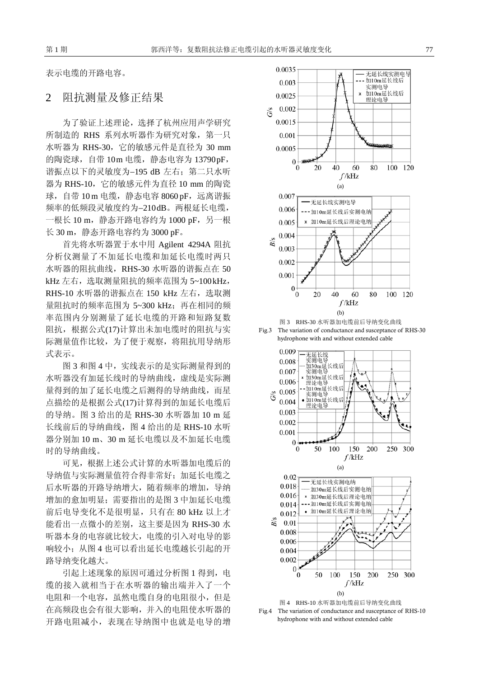表示电缆的开路电容。

#### 2 阻抗测量及修正结果

为了验证上述理论,选择了杭州应用声学研究 所制造的 RHS 系列水听器作为研究对象, 第一只 水听器为 RHS-30, 它的敏感元件是直径为 30 mm 的陶瓷球, 自带 10m 电缆, 静态电容为 13790 pF, 谐振点以下的灵敏度为−195 dB 左右;第二只水听 器为 RHS-10,它的敏感元件为直径 10 mm 的陶瓷 球, 自带 10 m 电缆, 静态电容 8060 pF, 远离谐振 频率的低频段灵敏度约为−210 dB。两根延长电缆, 一根长 10 m, 静态开路电容约为 1000 pF, 另一根 长 30 m, 静态开路电容约为 3000 pF。

首先将水听器置于水中用 Agilent 4294A 阻抗 分析仪测量了不加延长电缆和加延长电缆时两只 水听器的阻抗曲线,RHS-30 水听器的谐振点在 50 kHz 左右, 选取测量阻抗的频率范围为 5~100 kHz, RHS-10 水听器的谐振点在 150 kHz 左右, 选取测 量阻抗时的频率范围为 5~300 kHz; 再在相同的频 率范围内分别测量了延长电缆的开路和短路复数 阻抗,根据公式(17)计算出未加电缆时的阻抗与实 际测量值作比较,为了便于观察,将阻抗用导纳形 式表示。

图 3 和图 4 中,实线表示的是实际测量得到的 水听器没有加延长线时的导纳曲线,虚线是实际测 量得到的加了延长电缆之后测得的导纳曲线,而星 点描绘的是根据公式(17)计算得到的加延长电缆后 的导纳。图 3 给出的是 RHS-30 水听器加 10 m 延 长线前后的导纳曲线,图 4 给出的是 RHS-10 水听 器分别加 10 m、30 m 延长电缆以及不加延长电缆 时的导纳曲线。

可见,根据上述公式计算的水听器加电缆后的 导纳值与实际测量值符合得非常好;加延长电缆之 后水听器的开路导纳增大,随着频率的增加,导纳 增加的愈加明显;需要指出的是图 3 中加延长电缆 前后电导变化不是很明显,只有在 80 kHz 以上才 能看出一点微小的差别,这主要是因为 RHS-30 水 听器本身的电容就比较大,电缆的引入对电导的影 响较小;从图 4 也可以看出延长电缆越长引起的开 路导纳变化越大。

引起上述现象的原因可通过分析图 1 得到, 电 缆的接入就相当于在水听器的输出端并入了一个 电阻和一个电容,虽然电缆自身的电阻很小,但是 在高频段也会有很大影响,并入的电阻使水听器的 开路电阻减小,表现在导纳图中也就是电导的增







Fig.4 The variation of conductance and susceptance of RHS-10 hydrophone with and without extended cable